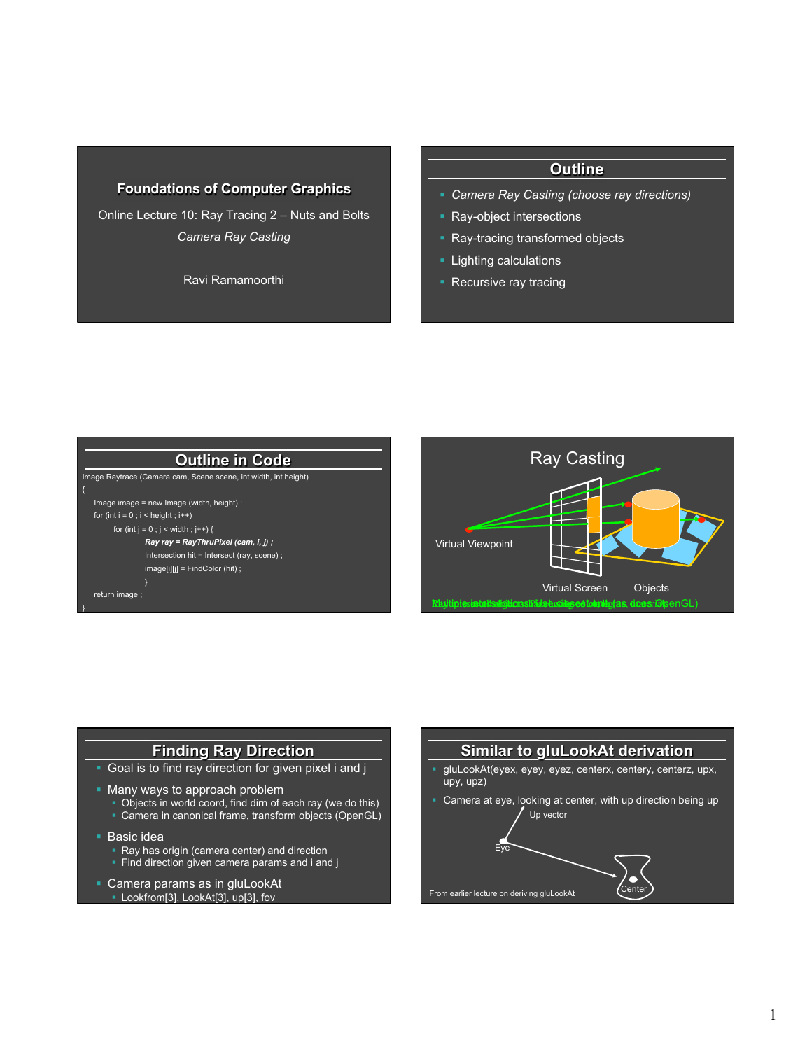### **Foundations of Computer Graphics**

Online Lecture 10: Ray Tracing 2 – Nuts and Bolts *Camera Ray Casting* 

Ravi Ramamoorthi

#### **Outline**

- § *Camera Ray Casting (choose ray directions)*
- § Ray-object intersections
- § Ray-tracing transformed objects
- § Lighting calculations
- Recursive ray tracing





#### **Finding Ray Direction**

- Goal is to find ray direction for given pixel i and j
- Many ways to approach problem
	- § Objects in world coord, find dirn of each ray (we do this)
	- § Camera in canonical frame, transform objects (OpenGL)
- § Basic idea
	- Ray has origin (camera center) and direction
	- Find direction given camera params and i and j
- **Camera params as in gluLookAt** § Lookfrom[3], LookAt[3], up[3], fov

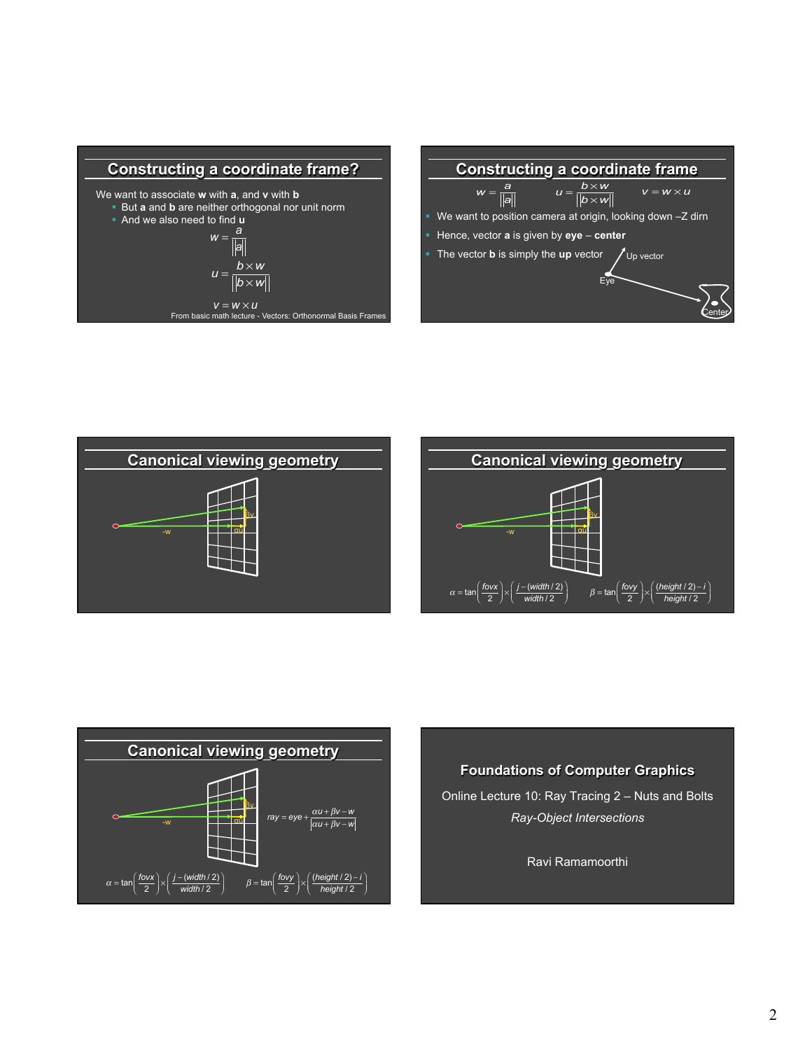









**Foundations of Computer Graphics**  Online Lecture 10: Ray Tracing 2 – Nuts and Bolts *Ray-Object Intersections*  Ravi Ramamoorthi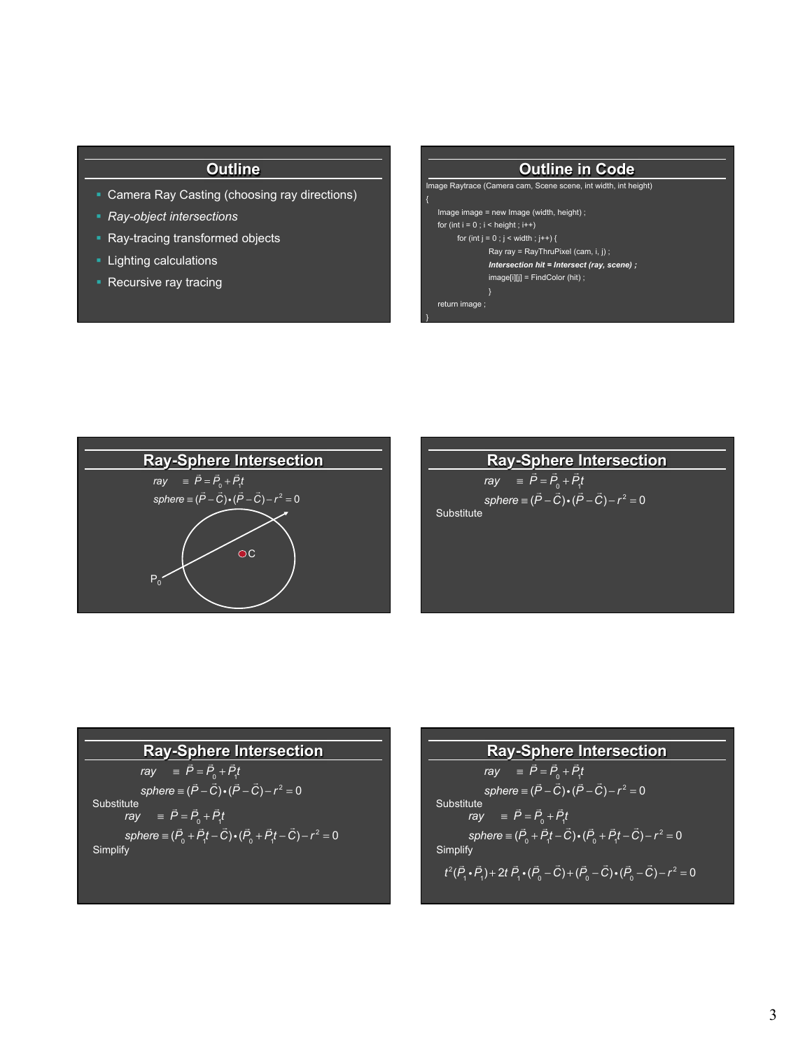# **Outline**

- Camera Ray Casting (choosing ray directions)
- § *Ray-object intersections*
- Ray-tracing transformed objects
- Lighting calculations
- Recursive ray tracing

| <b>Outline in Code</b>                                          |
|-----------------------------------------------------------------|
| Image Raytrace (Camera cam, Scene scene, int width, int height) |
|                                                                 |
| Image image $=$ new Image (width, height);                      |
| for (int $i = 0$ ; $i <$ height; $i++$ )                        |
| for (int j = 0 ; j < width ; j++) {                             |
| Ray ray = $RayThruPixel$ (cam, i, j);                           |
| Intersection hit = Intersect (ray, scene) ;                     |
| $image[i][j] = FindColor(hit);$                                 |
|                                                                 |
| return image ;                                                  |
|                                                                 |



# **Ray-Sphere Intersection**

 $ray = \vec{P} = \vec{P}_0 + \vec{P}_1 t$  $sphere \equiv (\vec{P} - \vec{C}) \cdot (\vec{P} - \vec{C}) - r^2 = 0$ Substitute

# **Ray-Sphere Intersection**

$$
ray = \vec{P} = \vec{P}_0 + \vec{P}_1 t
$$
\nsphere = (\vec{P} - \vec{C}) \cdot (\vec{P} - \vec{C}) - r^2 = 0  
\nSubstitute\n
$$
ray = \vec{P} = \vec{P}_0 + \vec{P}_1 t
$$
\nsphere = (\vec{P}\_0 + \vec{P}\_1 t - \vec{C}) \cdot (\vec{P}\_0 + \vec{P}\_1 t - \vec{C}) - r^2 = 0  
\nSimplify

**Ray-Sphere Intersection**  
\n
$$
ray = \vec{P} = \vec{P}_0 + \vec{P}_1 t
$$
\nsphere = (\vec{P} - \vec{C}) \cdot (\vec{P} - \vec{C}) - r^2 = 0  
\nSubstitute  
\n
$$
ray = \vec{P} = \vec{P}_0 + \vec{P}_1 t
$$
\nsphere = (\vec{P}\_0 + \vec{P}\_1 t - \vec{C}) \cdot (\vec{P}\_0 + \vec{P}\_1 t - \vec{C}) - r^2 = 0  
\nSimplify  
\n
$$
t^2(\vec{P}_1 \cdot \vec{P}_1) + 2t \vec{P}_1 \cdot (\vec{P}_0 - \vec{C}) + (\vec{P}_0 - \vec{C}) \cdot (\vec{P}_0 - \vec{C}) - r^2 = 0
$$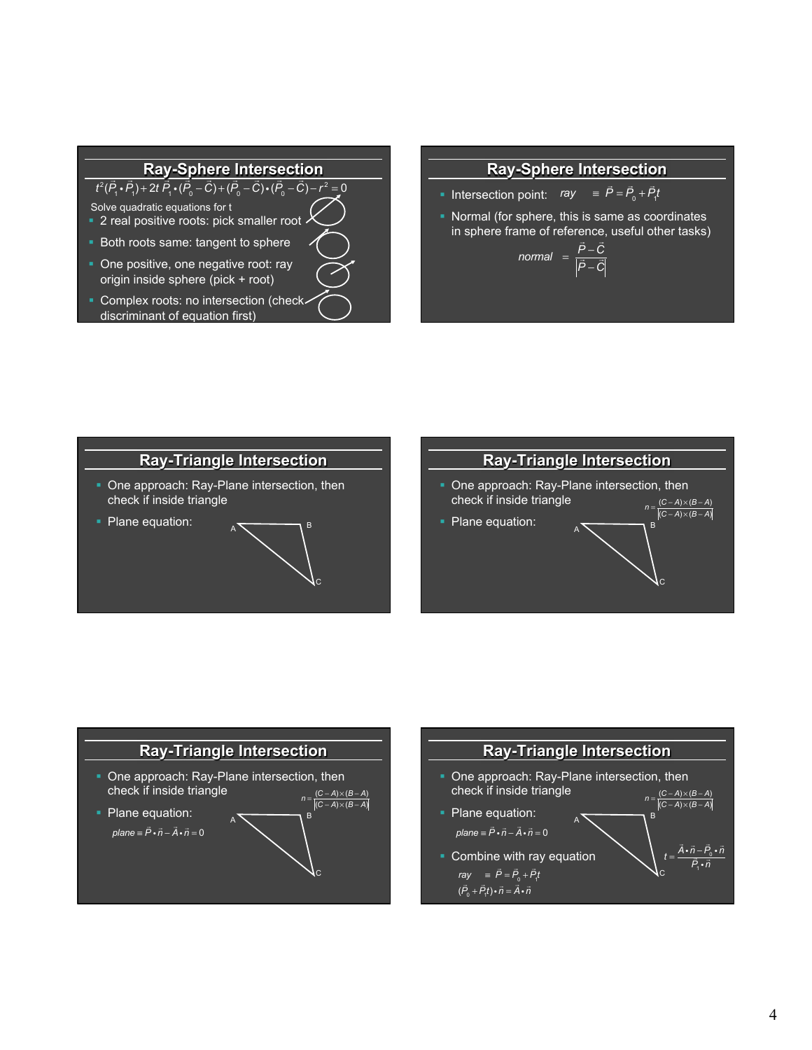## **Ray-Sphere Intersection**

 $\frac{1}{t^2(\vec{P}_1 \cdot \vec{P}_1) + 2t \vec{P}_1 \cdot (\vec{P}_0 - \vec{C}) + (\vec{P}_0 - \vec{C}) \cdot (\vec{P}_0 - \vec{C}) - r^2 = 0}$ 

Solve quadratic equations for t

- **2** real positive roots: pick smaller root
- Both roots same: tangent to sphere
- One positive, one negative root: ray origin inside sphere (pick + root)
- **Complex roots: no intersection (check**discriminant of equation first)

## **Ray-Sphere Intersection**

- **•** Intersection point:  $ray \equiv \vec{P} = \vec{P}_0 + \vec{P}_1 t$
- § Normal (for sphere, this is same as coordinates in sphere frame of reference, useful other tasks)<br>**P** − C<br>*P* − C

$$
normal = \frac{\vec{P} - \vec{C}}{|\vec{P} - \vec{C}|}
$$





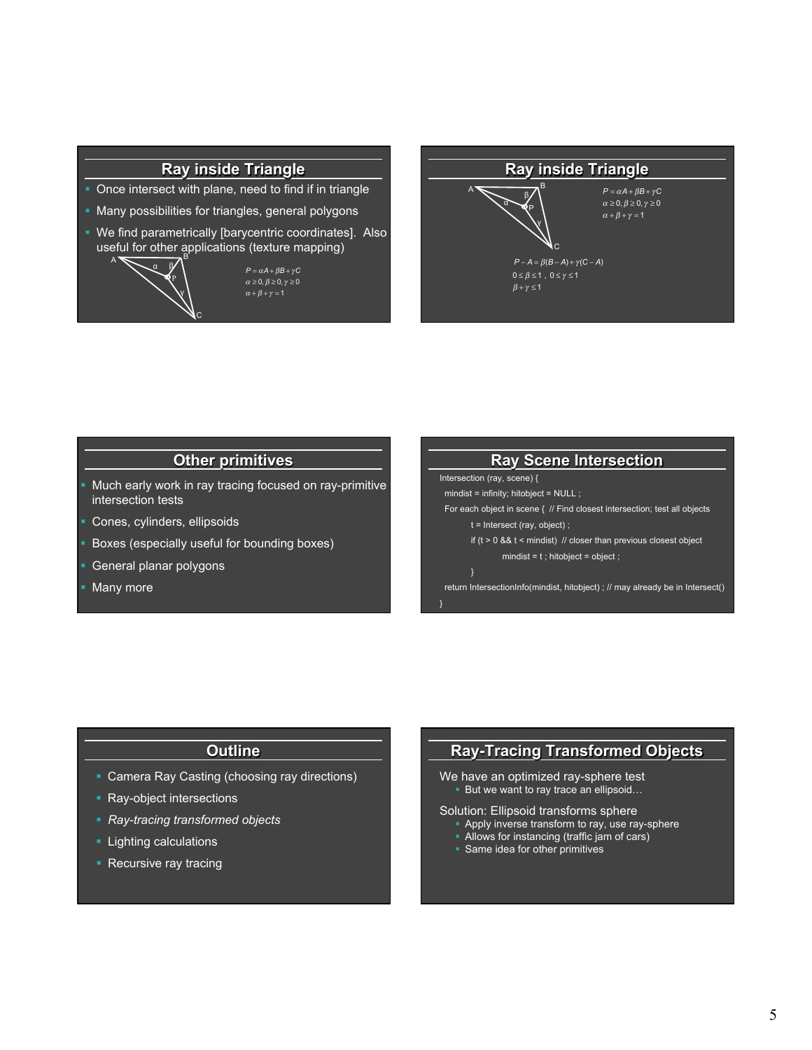# **Ray inside Triangle**

- Once intersect with plane, need to find if in triangle
- § Many possibilities for triangles, general polygons
- § We find parametrically [barycentric coordinates]. Also useful for other applications (texture mapping)

 $P = \alpha A + \beta B + \gamma C$  $\alpha \geq 0, \beta \geq 0, \gamma \geq 0$ 



#### **Ray inside Triangle**   $A \sum_{AB} R$ C  $\alpha$ γ  $P = \alpha A + \beta B + \gamma C$  $\alpha \geq 0, \beta \geq 0, \gamma \geq 0$  $\alpha + \beta + \gamma = 1$  $P - A = \beta(B - A) + \gamma(C - A)$  $0 \leq \beta \leq 1$  ,  $0 \leq \gamma \leq 1$  $\beta + \gamma \leq 1$

# **Other primitives**

- § Much early work in ray tracing focused on ray-primitive intersection tests
- § Cones, cylinders, ellipsoids
- § Boxes (especially useful for bounding boxes)
- § General planar polygons
- Many more



#### **Outline**

- Camera Ray Casting (choosing ray directions)
- Ray-object intersections
- § *Ray-tracing transformed objects*
- **Lighting calculations**
- Recursive ray tracing

# **Ray-Tracing Transformed Objects**

We have an optimized ray-sphere test But we want to ray trace an ellipsoid...

- Solution: Ellipsoid transforms sphere
	- Apply inverse transform to ray, use ray-sphere
	- Allows for instancing (traffic jam of cars)
	- § Same idea for other primitives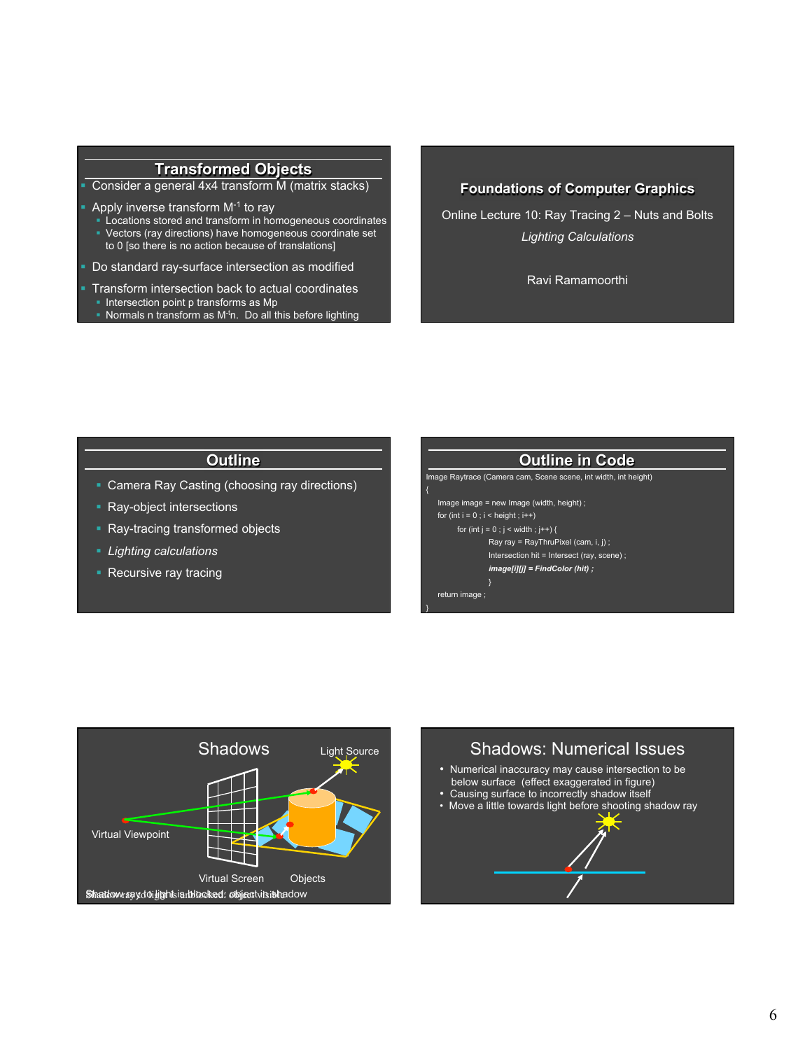# **Transformed Objects**

§ Consider a general 4x4 transform M (matrix stacks)

- Apply inverse transform M-1 to ray
- § Locations stored and transform in homogeneous coordinates
- § Vectors (ray directions) have homogeneous coordinate set to 0 [so there is no action because of translations]

Do standard ray-surface intersection as modified

- § Transform intersection back to actual coordinates
- Intersection point p transforms as Mp
- Normals n transform as  $M<sup>t</sup>n$ . Do all this before lighting

### **Foundations of Computer Graphics**

Online Lecture 10: Ray Tracing 2 – Nuts and Bolts *Lighting Calculations* 

Ravi Ramamoorthi

## **Outline**

- Camera Ray Casting (choosing ray directions)
- **Ray-object intersections**
- Ray-tracing transformed objects
- § *Lighting calculations*
- Recursive ray tracing

#### **Outline in Code**  Image Raytrace (Camera cam, Scene scene, int width, int height) { Image image = new Image (width, height) ; for (int  $i = 0$ ;  $i <$  height;  $i++)$ for (int  $j = 0$ ;  $j <$  width;  $j++)$  { Ray ray = RayThruPixel (cam, i, j) ; Intersection hit = Intersect (ray, scene) ; *image[i][j] = FindColor (hit) ;*  } return image ; }



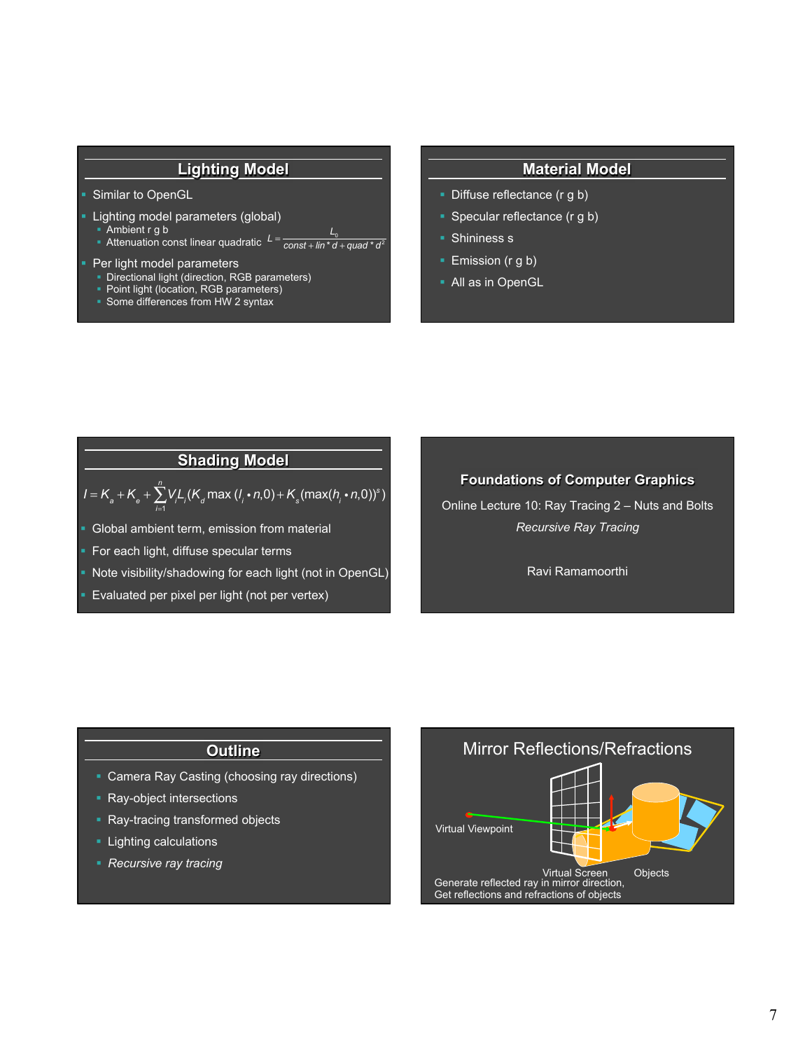# **Lighting Model**

#### Similar to OpenGL

- § Lighting model parameters (global)
- § Ambient r g b
- Ambient r g b<br>■ Attenuation const linear quadratic *L* =  $\frac{L_{\rm o}}{const+lin^*d+quad^*d^2}$

#### § Per light model parameters

- Directional light (direction, RGB parameters)
- Point light (location, RGB parameters)
- Some differences from HW 2 syntax

#### **Material Model**

- Diffuse reflectance (r g b)
- Specular reflectance (r g b)
- Shininess s
- Emission (r g b)
- All as in OpenGL

# **Shading Model**

$$
I = K_a + K_e + \sum_{i=1}^{n} V_i L_i (K_a \max (l_i \cdot n, 0) + K_s (\max (h_i \cdot n, 0))^s)
$$

- § Global ambient term, emission from material
- § For each light, diffuse specular terms
- § Note visibility/shadowing for each light (not in OpenGL)
- Evaluated per pixel per light (not per vertex)

#### **Foundations of Computer Graphics**

Online Lecture 10: Ray Tracing 2 – Nuts and Bolts *Recursive Ray Tracing* 

Ravi Ramamoorthi

#### **Outline**

- Camera Ray Casting (choosing ray directions)
- Ray-object intersections
- Ray-tracing transformed objects
- **Lighting calculations**
- § *Recursive ray tracing*